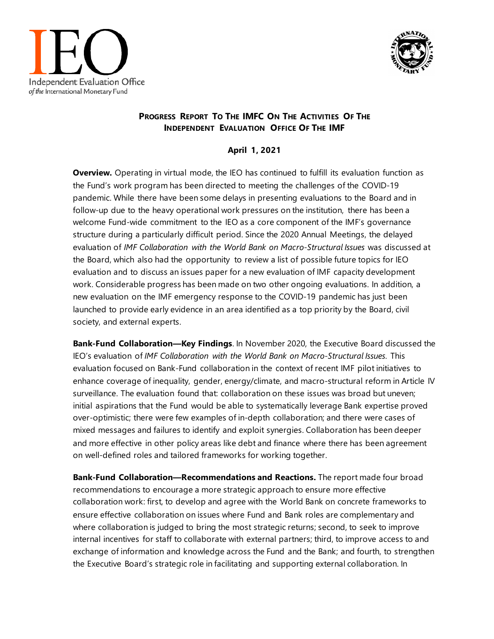



## **PROGRESS REPORT TO THE IMFC ON THE ACTIVITIES OF THE INDEPENDENT EVALUATION OFFICE OF THE IMF**

## **April 1, 2021**

**Overview.** Operating in virtual mode, the IEO has continued to fulfill its evaluation function as the Fund's work program has been directed to meeting the challenges of the COVID-19 pandemic. While there have been some delays in presenting evaluations to the Board and in follow-up due to the heavy operational work pressures on the institution, there has been a welcome Fund-wide commitment to the IEO as a core component of the IMF's governance structure during a particularly difficult period. Since the 2020 Annual Meetings, the delayed evaluation of *IMF Collaboration with the World Bank on Macro-Structural Issues* was discussed at the Board, which also had the opportunity to review a list of possible future topics for IEO evaluation and to discuss an issues paper for a new evaluation of IMF capacity development work. Considerable progress has been made on two other ongoing evaluations. In addition, a new evaluation on the IMF emergency response to the COVID-19 pandemic has just been launched to provide early evidence in an area identified as a top priority by the Board, civil society, and external experts.

**Bank-Fund Collaboration—Key Findings**. In November 2020, the Executive Board discussed the IEO's evaluation of *IMF Collaboration with the World Bank on Macro-Structural Issues*. This evaluation focused on Bank-Fund collaboration in the context of recent IMF pilot initiatives to enhance coverage of inequality, gender, energy/climate, and macro-structural reform in Article IV surveillance. The evaluation found that: collaboration on these issues was broad but uneven; initial aspirations that the Fund would be able to systematically leverage Bank expertise proved over-optimistic; there were few examples of in-depth collaboration; and there were cases of mixed messages and failures to identify and exploit synergies. Collaboration has been deeper and more effective in other policy areas like debt and finance where there has been agreement on well-defined roles and tailored frameworks for working together.

**Bank-Fund Collaboration—Recommendations and Reactions.** The report made four broad recommendations to encourage a more strategic approach to ensure more effective collaboration work: first, to develop and agree with the World Bank on concrete frameworks to ensure effective collaboration on issues where Fund and Bank roles are complementary and where collaboration is judged to bring the most strategic returns; second, to seek to improve internal incentives for staff to collaborate with external partners; third, to improve access to and exchange of information and knowledge across the Fund and the Bank; and fourth, to strengthen the Executive Board's strategic role in facilitating and supporting external collaboration. In